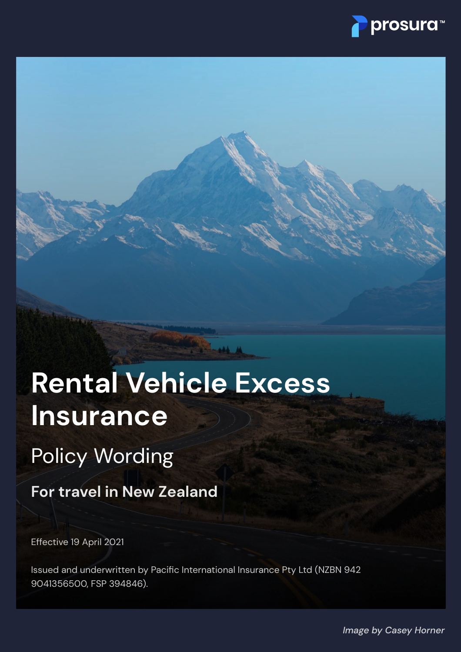

# **Rental Vehicle Excess Insurance**

Policy Wording

**For travel in New Zealand**

Effective 19 April 2021

Issued and underwritten by Pacific International Insurance Pty Ltd (NZBN 942 9041356500, FSP 394846).

*Image by Casey Horner*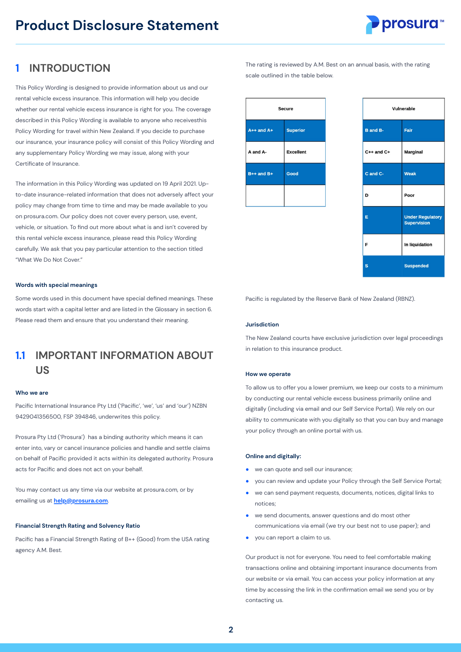

# **1 INTRODUCTION**

This Policy Wording is designed to provide information about us and our rental vehicle excess insurance. This information will help you decide whether our rental vehicle excess insurance is right for you. The coverage described in this Policy Wording is available to anyone who receivesthis Policy Wording for travel within New Zealand. If you decide to purchase our insurance, your insurance policy will consist of this Policy Wording and any supplementary Policy Wording we may issue, along with your Certificate of Insurance.

The information in this Policy Wording was updated on 19 April 2021. Upto-date insurance-related information that does not adversely affect your policy may change from time to time and may be made available to you on prosura.com. Our policy does not cover every person, use, event, vehicle, or situation. To find out more about what is and isn't covered by this rental vehicle excess insurance, please read this Policy Wording carefully. We ask that you pay particular attention to the section titled "What We Do Not Cover."

## **Words with special meanings**

Some words used in this document have special defined meanings. These words start with a capital letter and are listed in the Glossary in section 6. Please read them and ensure that you understand their meaning.

## **IMPORTANT INFORMATION ABOUT US 1.1**

## **Who we are**

Pacific International Insurance Pty Ltd ('Pacific', 'we', 'us' and 'our') NZBN 9429041356500, FSP 394846, underwrites this policy.

Prosura Pty Ltd ('Prosura') has a binding authority which means it can enter into, vary or cancel insurance policies and handle and settle claims on behalf of Pacific provided it acts within its delegated authority. Prosura acts for Pacific and does not act on your behalf.

You may contact us any time via our website at prosura.com, or by emailing us at **help@prosura.com**.

## **Financial Strength Rating and Solvency Ratio**

Pacific has a Financial Strength Rating of B++ (Good) from the USA rating agency A.M. Best.

The rating is reviewed by A.M. Best on an annual basis, with the rating scale outlined in the table below.

| <b>Secure</b>  |                  |
|----------------|------------------|
| $A++$ and $A+$ | <b>Superior</b>  |
| A and A-       | <b>Excellent</b> |
| $B++$ and $B+$ | Good             |
|                |                  |

| Vulnerable              |                                               |
|-------------------------|-----------------------------------------------|
| <b>B</b> and <b>B</b> - | Fair                                          |
| C++ and C+              | <b>Marginal</b>                               |
| C and C-                | <b>Weak</b>                                   |
| D                       | Poor                                          |
| Ë                       | <b>Under Regulatory</b><br><b>Supervision</b> |
| F                       | In liquidation                                |
| s                       | <b>Suspended</b>                              |

Pacific is regulated by the Reserve Bank of New Zealand (RBNZ).

### **Jurisdiction**

The New Zealand courts have exclusive jurisdiction over legal proceedings in relation to this insurance product.

### **How we operate**

To allow us to offer you a lower premium, we keep our costs to a minimum by conducting our rental vehicle excess business primarily online and digitally (including via email and our Self Service Portal). We rely on our ability to communicate with you digitally so that you can buy and manage your policy through an online portal with us.

## **Online and digitally:**

- we can quote and sell our insurance; ●
- you can review and update your Policy through the Self Service Portal; ●
- we can send payment requests, documents, notices, digital links to notices; ●
- we send documents, answer questions and do most other communications via email (we try our best not to use paper); and ●
- you can report a claim to us. ●

Our product is not for everyone. You need to feel comfortable making transactions online and obtaining important insurance documents from our website or via email. You can access your policy information at any time by accessing the link in the confirmation email we send you or by contacting us.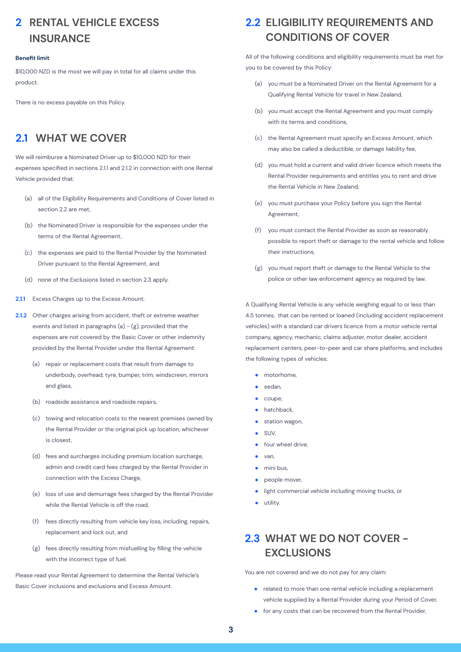# **RENTAL VEHICLE EXCESS 2 INSURANCE**

## **Benefit limit**

\$10,000 NZD is the most we will pay in total for all claims under this product.

There is no excess payable on this Policy.

# **2.1 WHAT WE COVER**

We will reimburse a Nominated Driver up to \$10,000 NZD for their expenses specified in sections 2.1.1 and 2.1.2 in connection with one Rental Vehicle provided that:

- all of the Eligibility Requirements and Conditions of Cover listed in (a) section 2.2 are met.
- (b) the Nominated Driver is responsible for the expenses under the terms of the Rental Agreement,
- (c) the expenses are paid to the Rental Provider by the Nominated Driver pursuant to the Rental Agreement, and
- (d) none of the Exclusions listed in section 2.3 apply.
- **2.1.1** Excess Charges up to the Excess Amount.
- **2.1.2** Other charges arising from accident, theft or extreme weather events and listed in paragraphs  $(a) - (g)$ , provided that the expenses are not covered by the Basic Cover or other indemnity provided by the Rental Provider under the Rental Agreement:
	- (a)  $\;$  repair or replacement costs that result from damage to underbody, overhead, tyre, bumper, trim, windscreen, mirrors and glass,
	- (b) roadside assistance and roadside repairs,
	- (c)  $\;$  towing and relocation costs to the nearest premises owned by the Rental Provider or the original pick up location, whichever is closest,
	- (d) fees and surcharges including premium location surcharge, admin and credit card fees charged by the Rental Provider in connection with the Excess Charge,
	- (e) loss of use and demurrage fees charged by the Rental Provider while the Rental Vehicle is off the road,
	- (f) fees directly resulting from vehicle key loss, including, repairs, replacement and lock out, and
	- (g) fees directly resulting from misfuelling by filling the vehicle with the incorrect type of fuel.

Please read your Rental Agreement to determine the Rental Vehicle's Basic Cover inclusions and exclusions and Excess Amount.

# **ELIGIBILITY REQUIREMENTS AND 2.2 CONDITIONS OF COVER**

All of the following conditions and eligibility requirements must be met for you to be covered by this Policy:

- (a) you must be a Nominated Driver on the Rental Agreement for a Qualifying Rental Vehicle for travel in New Zealand,
- (b) you must accept the Rental Agreement and you must comply with its terms and conditions,
- (c) the Rental Agreement must specify an Excess Amount, which may also be called a deductible, or damage liability fee,
- (d) you must hold a current and valid driver licence which meets the Rental Provider requirements and entitles you to rent and drive the Rental Vehicle in New Zealand,
- (e) you must purchase your Policy before you sign the Rental Agreement,
- (f) you must contact the Rental Provider as soon as reasonably possible to report theft or damage to the rental vehicle and follow their instructions,
- (g) you must report theft or damage to the Rental Vehicle to the police or other law enforcement agency as required by law.

A Qualifying Rental Vehicle is any vehicle weighing equal to or less than 4.5 tonnes, that can be rented or loaned (including accident replacement vehicles) with a standard car drivers licence from a motor vehicle rental company, agency, mechanic, claims adjuster, motor dealer, accident replacement centers, peer-to-peer and car share platforms, and includes the following types of vehicles:

- motorhome,
- sedan, ●
- coupe, ●
- hatchback, ●
- station wagon, ●
- SLIV, ●
- four wheel drive, ●
- van, ●
- mini bus, ●
- people mover, ●
- light commercial vehicle including moving trucks, or ●
- utility. ●

# **WHAT WE DO NOT COVER - 2.3 EXCLUSIONS**

You are not covered and we do not pay for any claim:

- related to more than one rental vehicle including a replacement vehicle supplied by a Rental Provider during your Period of Cover, ●
- for any costs that can be recovered from the Rental Provider, ●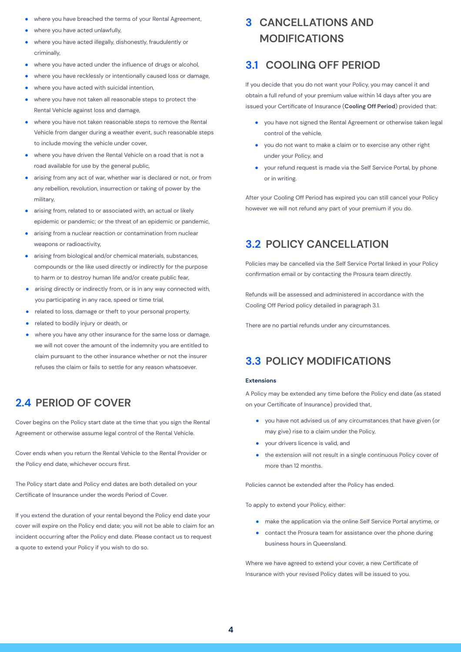- where you have breached the terms of your Rental Agreement, ●
- where you have acted unlawfully, ●
- where you have acted illegally, dishonestly, fraudulently or criminally, ●
- where you have acted under the influence of drugs or alcohol, ●
- where you have recklessly or intentionally caused loss or damage, ●
- where you have acted with suicidal intention, ●
- where you have not taken all reasonable steps to protect the Rental Vehicle against loss and damage, ●
- where you have not taken reasonable steps to remove the Rental Vehicle from danger during a weather event, such reasonable steps to include moving the vehicle under cover, ●
- where you have driven the Rental Vehicle on a road that is not a road available for use by the general public, ●
- arising from any act of war, whether war is declared or not, or from any rebellion, revolution, insurrection or taking of power by the military, ●
- arising from, related to or associated with, an actual or likely epidemic or pandemic; or the threat of an epidemic or pandemic, ●
- arising from a nuclear reaction or contamination from nuclear weapons or radioactivity. ●
- arising from biological and/or chemical materials, substances, compounds or the like used directly or indirectly for the purpose to harm or to destroy human life and/or create public fear, ●
- arising directly or indirectly from, or is in any way connected with, you participating in any race, speed or time trial, ●
- related to loss, damage or theft to your personal property, ●
- related to bodily injury or death, or ●
- where you have any other insurance for the same loss or damage, we will not cover the amount of the indemnity you are entitled to claim pursuant to the other insurance whether or not the insurer refuses the claim or fails to settle for any reason whatsoever. ●

# **2.4 PERIOD OF COVER**

Cover begins on the Policy start date at the time that you sign the Rental Agreement or otherwise assume legal control of the Rental Vehicle.

Cover ends when you return the Rental Vehicle to the Rental Provider or the Policy end date, whichever occurs first.

The Policy start date and Policy end dates are both detailed on your Certificate of Insurance under the words Period of Cover.

If you extend the duration of your rental beyond the Policy end date your cover will expire on the Policy end date; you will not be able to claim for an incident occurring after the Policy end date. Please contact us to request a quote to extend your Policy if you wish to do so.

# **CANCELLATIONS AND 3 MODIFICATIONS**

# **3.1 COOLING OFF PERIOD**

If you decide that you do not want your Policy, you may cancel it and obtain a full refund of your premium value within 14 days after you are issued your Certificate of Insurance (**Cooling Off Period**) provided that:

- you have not signed the Rental Agreement or otherwise taken legal control of the vehicle,
- you do not want to make a claim or to exercise any other right under your Policy, and
- your refund request is made via the Self Service Portal, by phone or in writing.

After your Cooling Off Period has expired you can still cancel your Policy however we will not refund any part of your premium if you do.

# **3.2 POLICY CANCELLATION**

Policies may be cancelled via the Self Service Portal linked in your Policy confirmation email or by contacting the Prosura team directly.

Refunds will be assessed and administered in accordance with the Cooling Off Period policy detailed in paragraph 3.1.

There are no partial refunds under any circumstances.

# **3.3 POLICY MODIFICATIONS**

## **Extensions**

A Policy may be extended any time before the Policy end date (as stated on your Certificate of Insurance) provided that,

- you have not advised us of any circumstances that have given (or may give) rise to a claim under the Policy,
- your drivers licence is valid, and ●
- the extension will not result in a single continuous Policy cover of more than 12 months. ●

Policies cannot be extended after the Policy has ended.

To apply to extend your Policy, either:

- make the application via the online Self Service Portal anytime, or
- contact the Prosura team for assistance over the phone during business hours in Queensland.

Where we have agreed to extend your cover, a new Certificate of Insurance with your revised Policy dates will be issued to you.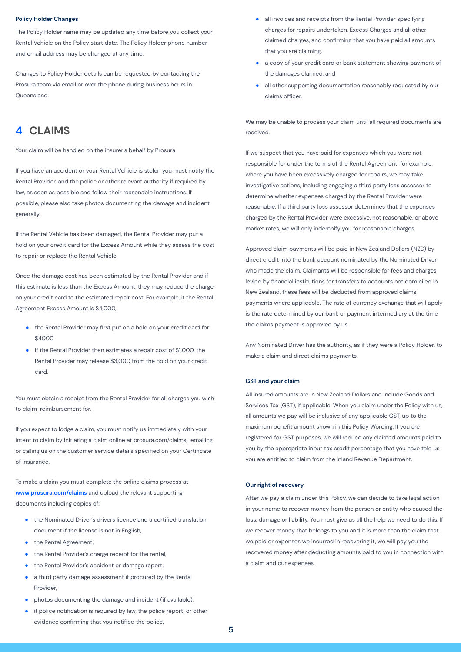#### **Policy Holder Changes**

The Policy Holder name may be updated any time before you collect your Rental Vehicle on the Policy start date. The Policy Holder phone number and email address may be changed at any time.

Changes to Policy Holder details can be requested by contacting the Prosura team via email or over the phone during business hours in Queensland.

# **4 CLAIMS**

Your claim will be handled on the insurer's behalf by Prosura.

If you have an accident or your Rental Vehicle is stolen you must notify the Rental Provider, and the police or other relevant authority if required by law, as soon as possible and follow their reasonable instructions. If possible, please also take photos documenting the damage and incident generally.

If the Rental Vehicle has been damaged, the Rental Provider may put a hold on your credit card for the Excess Amount while they assess the cost to repair or replace the Rental Vehicle.

Once the damage cost has been estimated by the Rental Provider and if this estimate is less than the Excess Amount, they may reduce the charge on your credit card to the estimated repair cost. For example, if the Rental Agreement Excess Amount is \$4,000,

- the Rental Provider may first put on a hold on your credit card for  $$4000$
- if the Rental Provider then estimates a repair cost of \$1,000, the Rental Provider may release \$3,000 from the hold on your credit card.

You must obtain a receipt from the Rental Provider for all charges you wish to claim reimbursement for.

If you expect to lodge a claim, you must notify us immediately with your intent to claim by initiating a claim online at prosura.com/claims, emailing or calling us on the customer service details specified on your Certificate of Insurance.

To make a claim you must complete the online claims process at **www.prosura.com/claims** and upload the relevant supporting documents including copies of:

- the Nominated Driver's drivers licence and a certified translation document if the license is not in English, ●
- the Rental Agreement,
- the Rental Provider's charge receipt for the rental, ●
- the Rental Provider's accident or damage report, ●
- a third party damage assessment if procured by the Rental Provider, ●
- photos documenting the damage and incident (if available), ●
- if police notification is required by law, the police report, or other evidence confirming that you notified the police, ●
- all invoices and receipts from the Rental Provider specifying charges for repairs undertaken, Excess Charges and all other claimed charges, and confirming that you have paid all amounts that you are claiming, ●
- a copy of your credit card or bank statement showing payment of the damages claimed, and ●
- all other supporting documentation reasonably requested by our claims officer. ●

We may be unable to process your claim until all required documents are received.

If we suspect that you have paid for expenses which you were not responsible for under the terms of the Rental Agreement, for example, where you have been excessively charged for repairs, we may take investigative actions, including engaging a third party loss assessor to determine whether expenses charged by the Rental Provider were reasonable. If a third party loss assessor determines that the expenses charged by the Rental Provider were excessive, not reasonable, or above market rates, we will only indemnify you for reasonable charges.

Approved claim payments will be paid in New Zealand Dollars (NZD) by direct credit into the bank account nominated by the Nominated Driver who made the claim. Claimants will be responsible for fees and charges levied by financial institutions for transfers to accounts not domiciled in New Zealand, these fees will be deducted from approved claims payments where applicable. The rate of currency exchange that will apply is the rate determined by our bank or payment intermediary at the time the claims payment is approved by us.

Any Nominated Driver has the authority, as if they were a Policy Holder, to make a claim and direct claims payments.

## **GST and your claim**

All insured amounts are in New Zealand Dollars and include Goods and Services Tax (GST), if applicable. When you claim under the Policy with us, all amounts we pay will be inclusive of any applicable GST, up to the maximum benefit amount shown in this Policy Wording. If you are registered for GST purposes, we will reduce any claimed amounts paid to you by the appropriate input tax credit percentage that you have told us you are entitled to claim from the Inland Revenue Department.

## **Our right of recovery**

After we pay a claim under this Policy, we can decide to take legal action in your name to recover money from the person or entity who caused the loss, damage or liability. You must give us all the help we need to do this. If we recover money that belongs to you and it is more than the claim that we paid or expenses we incurred in recovering it, we will pay you the recovered money after deducting amounts paid to you in connection with a claim and our expenses.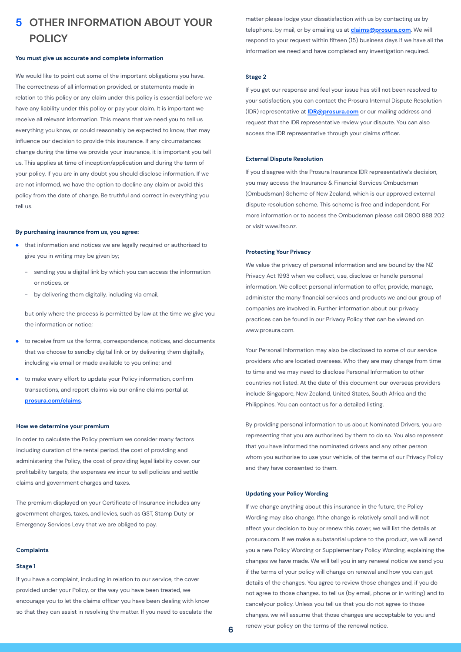# **OTHER INFORMATION ABOUT YOUR 5 POLICY**

## **You must give us accurate and complete information**

We would like to point out some of the important obligations you have. The correctness of all information provided, or statements made in relation to this policy or any claim under this policy is essential before we have any liability under this policy or pay your claim. It is important we receive all relevant information. This means that we need you to tell us everything you know, or could reasonably be expected to know, that may influence our decision to provide this insurance. If any circumstances change during the time we provide your insurance, it is important you tell us. This applies at time of inception/application and during the term of your policy. If you are in any doubt you should disclose information. If we are not informed, we have the option to decline any claim or avoid this policy from the date of change. Be truthful and correct in everything you tell us.

## **By purchasing insurance from us, you agree:**

- that information and notices we are legally required or authorised to give you in writing may be given by; ●
	- sending you a digital link by which you can access the information or notices, or -
	- by delivering them digitally, including via email, -

but only where the process is permitted by law at the time we give you the information or notice;

- to receive from us the forms, correspondence, notices, and documents that we choose to sendby digital link or by delivering them digitally, including via email or made available to you online; and ●
- to make every effort to update your Policy information, confirm transactions, and report claims via our online claims portal at **prosura.com/claims**. ●

### **How we determine your premium**

In order to calculate the Policy premium we consider many factors including duration of the rental period, the cost of providing and administering the Policy, the cost of providing legal liability cover, our profitability targets, the expenses we incur to sell policies and settle claims and government charges and taxes.

The premium displayed on your Certificate of Insurance includes any government charges, taxes, and levies, such as GST, Stamp Duty or Emergency Services Levy that we are obliged to pay.

#### **Complaints**

## **Stage 1**

If you have a complaint, including in relation to our service, the cover provided under your Policy, or the way you have been treated, we encourage you to let the claims officer you have been dealing with know so that they can assist in resolving the matter. If you need to escalate the matter please lodge your dissatisfaction with us by contacting us by telephone, by mail, or by emailing us at **claims@prosura.com**. We will respond to your request within fifteen (15) business days if we have all the information we need and have completed any investigation required.

#### **Stage 2**

If you get our response and feel your issue has still not been resolved to your satisfaction, you can contact the Prosura Internal Dispute Resolution (IDR) representative at **IDR@prosura.com** or our mailing address and request that the IDR representative review your dispute. You can also access the IDR representative through your claims officer.

### **External Dispute Resolution**

If you disagree with the Prosura Insurance IDR representative's decision, you may access the Insurance & Financial Services Ombudsman (Ombudsman) Scheme of New Zealand, which is our approved external dispute resolution scheme. This scheme is free and independent. For more information or to access the Ombudsman please call 0800 888 202 or visit www.ifso.nz.

## **Protecting Your Privacy**

We value the privacy of personal information and are bound by the NZ Privacy Act 1993 when we collect, use, disclose or handle personal information. We collect personal information to offer, provide, manage, administer the many financial services and products we and our group of companies are involved in. Further information about our privacy practices can be found in our Privacy Policy that can be viewed on www.prosura.com.

Your Personal Information may also be disclosed to some of our service providers who are located overseas. Who they are may change from time to time and we may need to disclose Personal Information to other countries not listed. At the date of this document our overseas providers include Singapore, New Zealand, United States, South Africa and the Philippines. You can contact us for a detailed listing.

By providing personal information to us about Nominated Drivers, you are representing that you are authorised by them to do so. You also represent that you have informed the nominated drivers and any other person whom you authorise to use your vehicle, of the terms of our Privacy Policy and they have consented to them.

## **Updating your Policy Wording**

If we change anything about this insurance in the future, the Policy Wording may also change. Ifthe change is relatively small and will not affect your decision to buy or renew this cover, we will list the details at prosura.com. If we make a substantial update to the product, we will send you a new Policy Wording or Supplementary Policy Wording, explaining the changes we have made. We will tell you in any renewal notice we send you if the terms of your policy will change on renewal and how you can get details of the changes. You agree to review those changes and, if you do not agree to those changes, to tell us (by email, phone or in writing) and to cancelyour policy. Unless you tell us that you do not agree to those changes, we will assume that those changes are acceptable to you and renew your policy on the terms of the renewal notice.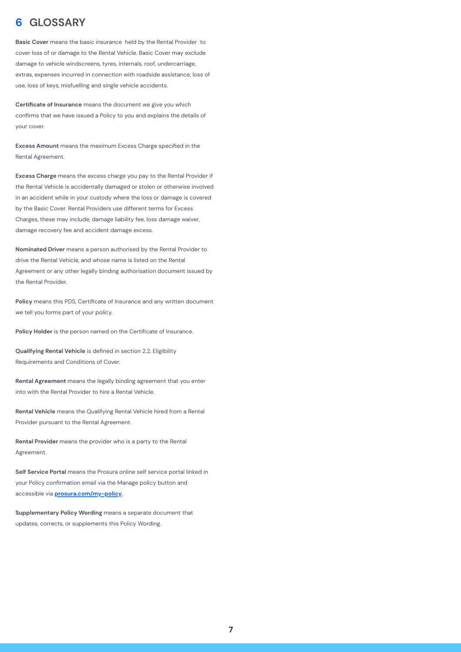# **6 GLOSSARY**

**Basic Cover** means the basic insurance held by the Rental Provider to cover loss of or damage to the Rental Vehicle. Basic Cover may exclude damage to vehicle windscreens, tyres, internals, roof, undercarriage, extras, expenses incurred in connection with roadside assistance, loss of use, loss of keys, misfuelling and single vehicle accidents.

**Certificate of Insurance** means the document we give you which confirms that we have issued a Policy to you and explains the details of your cover.

**Excess Amount** means the maximum Excess Charge specified in the Rental Agreement.

**Excess Charge** means the excess charge you pay to the Rental Provider if the Rental Vehicle is accidentally damaged or stolen or otherwise involved in an accident while in your custody where the loss or damage is covered by the Basic Cover. Rental Providers use different terms for Excess Charges, these may include, damage liability fee, loss damage waiver, damage recovery fee and accident damage excess.

**Nominated Driver** means a person authorised by the Rental Provider to drive the Rental Vehicle, and whose name is listed on the Rental Agreement or any other legally binding authorisation document issued by the Rental Provider.

**Policy** means this PDS, Certificate of Insurance and any written document we tell you forms part of your policy.

**Policy Holder** is the person named on the Certificate of Insurance.

**Qualifying Rental Vehicle** is defined in section 2.2, Eligibility Requirements and Conditions of Cover.

**Rental Agreement** means the legally binding agreement that you enter into with the Rental Provider to hire a Rental Vehicle.

**Rental Vehicle** means the Qualifying Rental Vehicle hired from a Rental Provider pursuant to the Rental Agreement.

**Rental Provider** means the provider who is a party to the Rental Agreement.

**Self Service Portal** means the Prosura online self service portal linked in your Policy confirmation email via the Manage policy button and accessible via **prosura.com/my-policy**.

**Supplementary Policy Wording** means a separate document that updates, corrects, or supplements this Policy Wording.